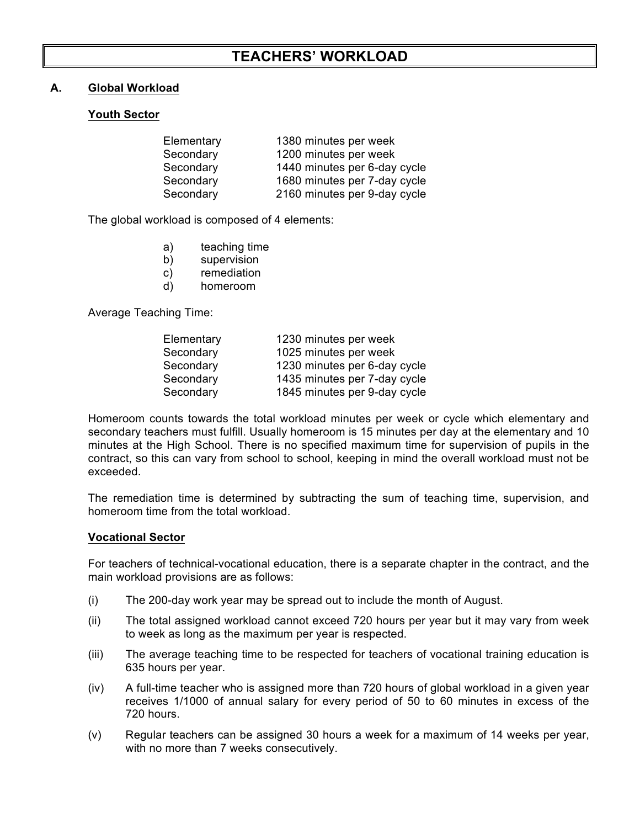# **TEACHERS' WORKLOAD**

## **A. Global Workload**

### **Youth Sector**

| Elementary | 1380 minutes per week        |
|------------|------------------------------|
| Secondary  | 1200 minutes per week        |
| Secondary  | 1440 minutes per 6-day cycle |
| Secondary  | 1680 minutes per 7-day cycle |
| Secondary  | 2160 minutes per 9-day cycle |

The global workload is composed of 4 elements:

- a) teaching time
- b) supervision
- c) remediation
- d) homeroom

Average Teaching Time:

| Elementary | 1230 minutes per week        |
|------------|------------------------------|
| Secondary  | 1025 minutes per week        |
| Secondary  | 1230 minutes per 6-day cycle |
| Secondary  | 1435 minutes per 7-day cycle |
| Secondary  | 1845 minutes per 9-day cycle |

Homeroom counts towards the total workload minutes per week or cycle which elementary and secondary teachers must fulfill. Usually homeroom is 15 minutes per day at the elementary and 10 minutes at the High School. There is no specified maximum time for supervision of pupils in the contract, so this can vary from school to school, keeping in mind the overall workload must not be exceeded.

The remediation time is determined by subtracting the sum of teaching time, supervision, and homeroom time from the total workload.

#### **Vocational Sector**

For teachers of technical-vocational education, there is a separate chapter in the contract, and the main workload provisions are as follows:

- (i) The 200-day work year may be spread out to include the month of August.
- (ii) The total assigned workload cannot exceed 720 hours per year but it may vary from week to week as long as the maximum per year is respected.
- (iii) The average teaching time to be respected for teachers of vocational training education is 635 hours per year.
- (iv) A full-time teacher who is assigned more than 720 hours of global workload in a given year receives 1/1000 of annual salary for every period of 50 to 60 minutes in excess of the 720 hours.
- (v) Regular teachers can be assigned 30 hours a week for a maximum of 14 weeks per year, with no more than 7 weeks consecutively.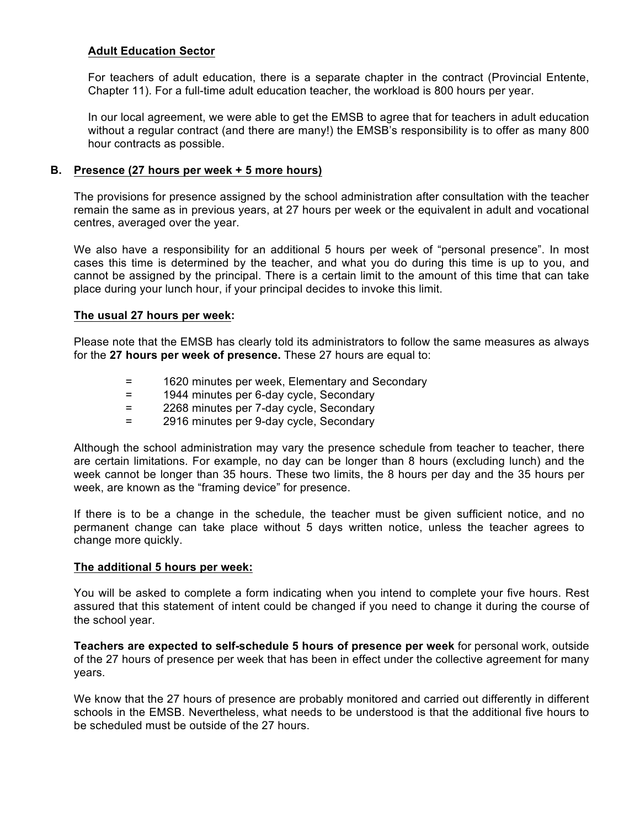## **Adult Education Sector**

For teachers of adult education, there is a separate chapter in the contract (Provincial Entente, Chapter 11). For a full-time adult education teacher, the workload is 800 hours per year.

In our local agreement, we were able to get the EMSB to agree that for teachers in adult education without a regular contract (and there are many!) the EMSB's responsibility is to offer as many 800 hour contracts as possible.

### **B. Presence (27 hours per week + 5 more hours)**

The provisions for presence assigned by the school administration after consultation with the teacher remain the same as in previous years, at 27 hours per week or the equivalent in adult and vocational centres, averaged over the year.

We also have a responsibility for an additional 5 hours per week of "personal presence". In most cases this time is determined by the teacher, and what you do during this time is up to you, and cannot be assigned by the principal. There is a certain limit to the amount of this time that can take place during your lunch hour, if your principal decides to invoke this limit.

#### **The usual 27 hours per week:**

Please note that the EMSB has clearly told its administrators to follow the same measures as always for the **27 hours per week of presence.** These 27 hours are equal to:

- = 1620 minutes per week, Elementary and Secondary
- = 1944 minutes per 6-day cycle, Secondary
- = 2268 minutes per 7-day cycle, Secondary
- = 2916 minutes per 9-day cycle, Secondary

Although the school administration may vary the presence schedule from teacher to teacher, there are certain limitations. For example, no day can be longer than 8 hours (excluding lunch) and the week cannot be longer than 35 hours. These two limits, the 8 hours per day and the 35 hours per week, are known as the "framing device" for presence.

If there is to be a change in the schedule, the teacher must be given sufficient notice, and no permanent change can take place without 5 days written notice, unless the teacher agrees to change more quickly.

#### **The additional 5 hours per week:**

You will be asked to complete a form indicating when you intend to complete your five hours. Rest assured that this statement of intent could be changed if you need to change it during the course of the school year.

**Teachers are expected to self-schedule 5 hours of presence per week** for personal work, outside of the 27 hours of presence per week that has been in effect under the collective agreement for many years.

We know that the 27 hours of presence are probably monitored and carried out differently in different schools in the EMSB. Nevertheless, what needs to be understood is that the additional five hours to be scheduled must be outside of the 27 hours.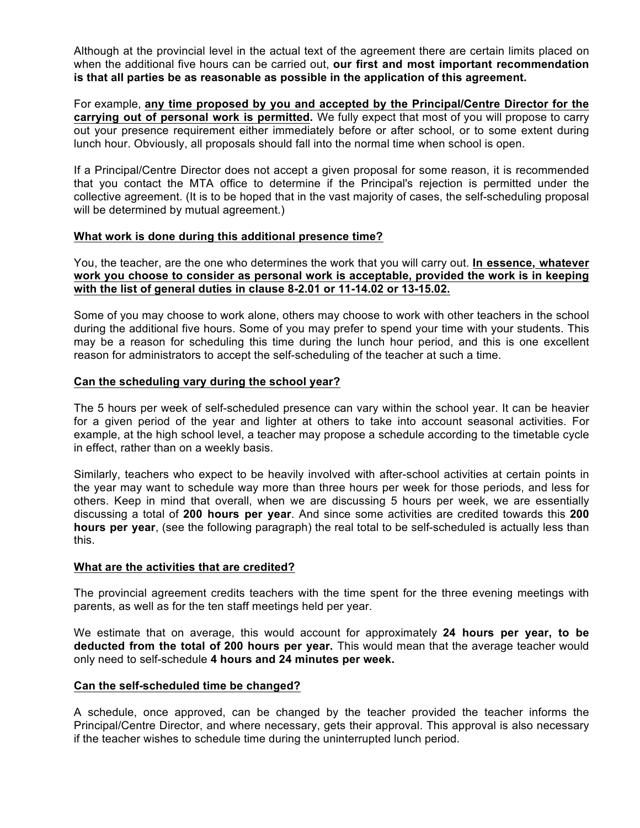Although at the provincial level in the actual text of the agreement there are certain limits placed on when the additional five hours can be carried out, **our first and most important recommendation is that all parties be as reasonable as possible in the application of this agreement.**

For example, **any time proposed by you and accepted by the Principal/Centre Director for the carrying out of personal work is permitted.** We fully expect that most of you will propose to carry out your presence requirement either immediately before or after school, or to some extent during lunch hour. Obviously, all proposals should fall into the normal time when school is open.

If a Principal/Centre Director does not accept a given proposal for some reason, it is recommended that you contact the MTA office to determine if the Principal's rejection is permitted under the collective agreement. (It is to be hoped that in the vast majority of cases, the self-scheduling proposal will be determined by mutual agreement.)

## **What work is done during this additional presence time?**

You, the teacher, are the one who determines the work that you will carry out. **In essence, whatever work you choose to consider as personal work is acceptable, provided the work is in keeping with the list of general duties in clause 8-2.01 or 11-14.02 or 13-15.02.**

Some of you may choose to work alone, others may choose to work with other teachers in the school during the additional five hours. Some of you may prefer to spend your time with your students. This may be a reason for scheduling this time during the lunch hour period, and this is one excellent reason for administrators to accept the self-scheduling of the teacher at such a time.

## **Can the scheduling vary during the school year?**

The 5 hours per week of self-scheduled presence can vary within the school year. It can be heavier for a given period of the year and lighter at others to take into account seasonal activities. For example, at the high school level, a teacher may propose a schedule according to the timetable cycle in effect, rather than on a weekly basis.

Similarly, teachers who expect to be heavily involved with after-school activities at certain points in the year may want to schedule way more than three hours per week for those periods, and less for others. Keep in mind that overall, when we are discussing 5 hours per week, we are essentially discussing a total of **200 hours per year**. And since some activities are credited towards this **200 hours per year**, (see the following paragraph) the real total to be self-scheduled is actually less than this.

#### **What are the activities that are credited?**

The provincial agreement credits teachers with the time spent for the three evening meetings with parents, as well as for the ten staff meetings held per year.

We estimate that on average, this would account for approximately **24 hours per year, to be deducted from the total of 200 hours per year.** This would mean that the average teacher would only need to self-schedule **4 hours and 24 minutes per week.**

#### **Can the self-scheduled time be changed?**

A schedule, once approved, can be changed by the teacher provided the teacher informs the Principal/Centre Director, and where necessary, gets their approval. This approval is also necessary if the teacher wishes to schedule time during the uninterrupted lunch period.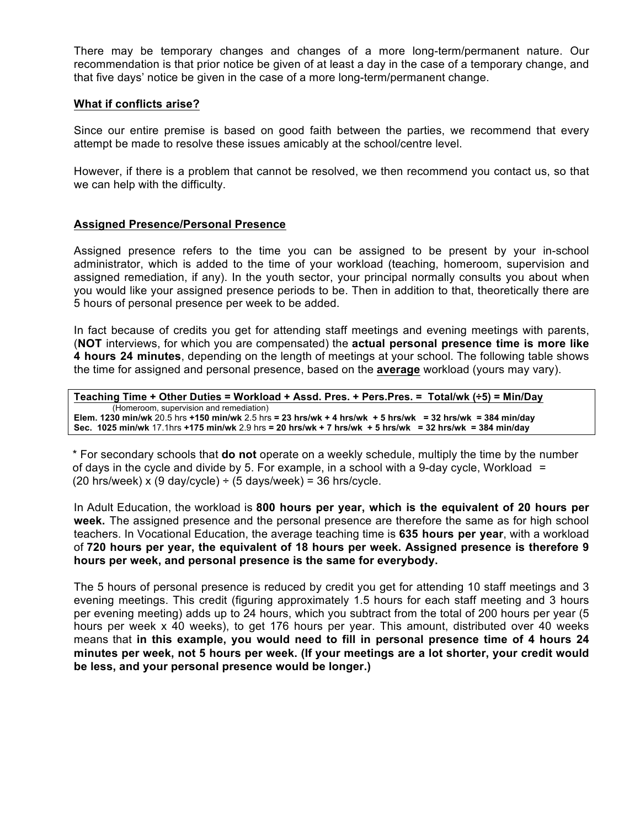There may be temporary changes and changes of a more long-term/permanent nature. Our recommendation is that prior notice be given of at least a day in the case of a temporary change, and that five days' notice be given in the case of a more long-term/permanent change.

#### **What if conflicts arise?**

Since our entire premise is based on good faith between the parties, we recommend that every attempt be made to resolve these issues amicably at the school/centre level.

However, if there is a problem that cannot be resolved, we then recommend you contact us, so that we can help with the difficulty.

#### **Assigned Presence/Personal Presence**

Assigned presence refers to the time you can be assigned to be present by your in-school administrator, which is added to the time of your workload (teaching, homeroom, supervision and assigned remediation, if any). In the youth sector, your principal normally consults you about when you would like your assigned presence periods to be. Then in addition to that, theoretically there are 5 hours of personal presence per week to be added.

In fact because of credits you get for attending staff meetings and evening meetings with parents, (**NOT** interviews, for which you are compensated) the **actual personal presence time is more like 4 hours 24 minutes**, depending on the length of meetings at your school. The following table shows the time for assigned and personal presence, based on the **average** workload (yours may vary).

```
Teaching Time + Other Duties = Workload + Assd. Pres. + Pers.Pres. = Total/wk (÷5) = Min/Day
         (Homeroom, supervision and remediation)
Elem. 1230 min/wk 20.5 hrs +150 min/wk 2.5 hrs = 23 hrs/wk + 4 hrs/wk + 5 hrs/wk = 32 hrs/wk = 384 min/day
Sec. 1025 min/wk 17.1hrs +175 min/wk 2.9 hrs = 20 hrs/wk + 7 hrs/wk + 5 hrs/wk = 32 hrs/wk = 384 min/day
```
\* For secondary schools that **do not** operate on a weekly schedule, multiply the time by the number of days in the cycle and divide by 5. For example, in a school with a 9-day cycle, Workload  $=$ (20 hrs/week) x (9 day/cycle)  $\div$  (5 days/week) = 36 hrs/cycle.

In Adult Education, the workload is **800 hours per year, which is the equivalent of 20 hours per week.** The assigned presence and the personal presence are therefore the same as for high school teachers. In Vocational Education, the average teaching time is **635 hours per year**, with a workload of **720 hours per year, the equivalent of 18 hours per week. Assigned presence is therefore 9 hours per week, and personal presence is the same for everybody.**

The 5 hours of personal presence is reduced by credit you get for attending 10 staff meetings and 3 evening meetings. This credit (figuring approximately 1.5 hours for each staff meeting and 3 hours per evening meeting) adds up to 24 hours, which you subtract from the total of 200 hours per year (5 hours per week x 40 weeks), to get 176 hours per year. This amount, distributed over 40 weeks means that **in this example, you would need to fill in personal presence time of 4 hours 24 minutes per week, not 5 hours per week. (If your meetings are a lot shorter, your credit would be less, and your personal presence would be longer.)**